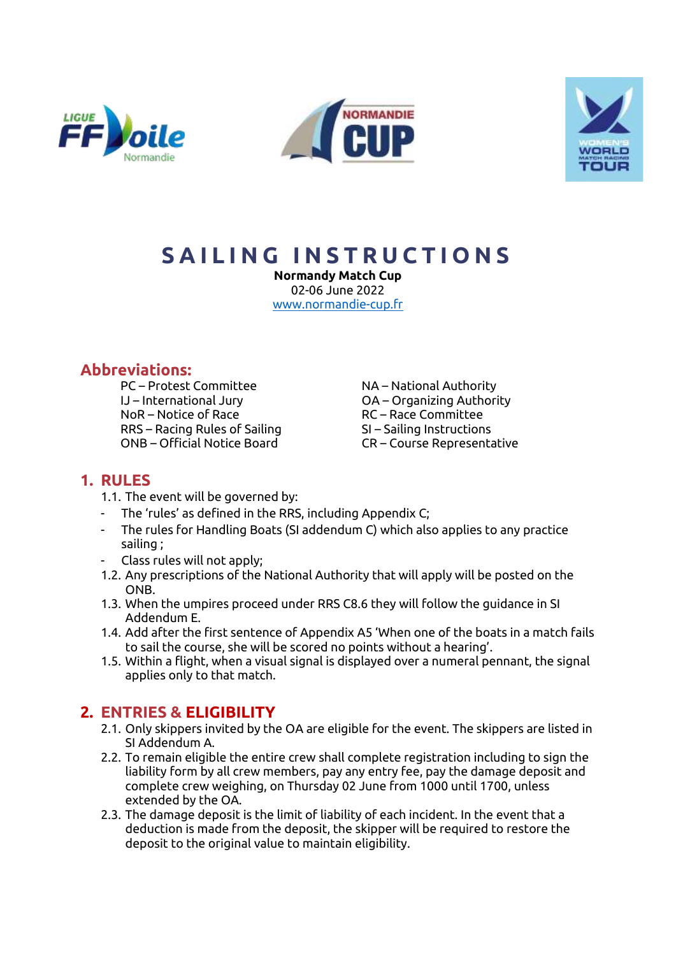





# **S A I L I N G I N S T R U C T I O N S**

**Normandy Match Cup** 02-06 June 2022 [www.normandie-cup.fr](http://www.normandie-cup.fr/)

# **Abbreviations:**

PC – Protest Committee NA – National Authority IJ – International Jury OA – Organizing Authority NoR – Notice of Race Race RC – Race Committee RRS – Racing Rules of Sailing SI – Sailing Instructions ONB – Official Notice Board CR – Course Representative

# **1. RULES**

- 1.1. The event will be governed by:
- The 'rules' as defined in the RRS, including Appendix C;
- The rules for Handling Boats (SI addendum C) which also applies to any practice sailing ;
- Class rules will not apply;
- 1.2. Any prescriptions of the National Authority that will apply will be posted on the ONB.
- 1.3. When the umpires proceed under RRS C8.6 they will follow the guidance in SI Addendum E.
- 1.4. Add after the first sentence of Appendix A5 'When one of the boats in a match fails to sail the course, she will be scored no points without a hearing'.
- 1.5. Within a flight, when a visual signal is displayed over a numeral pennant, the signal applies only to that match.

# **2. ENTRIES & ELIGIBILITY**

- 2.1. Only skippers invited by the OA are eligible for the event. The skippers are listed in SI Addendum A.
- 2.2. To remain eligible the entire crew shall complete registration including to sign the liability form by all crew members, pay any entry fee, pay the damage deposit and complete crew weighing, on Thursday 02 June from 1000 until 1700, unless extended by the OA.
- 2.3. The damage deposit is the limit of liability of each incident. In the event that a deduction is made from the deposit, the skipper will be required to restore the deposit to the original value to maintain eligibility.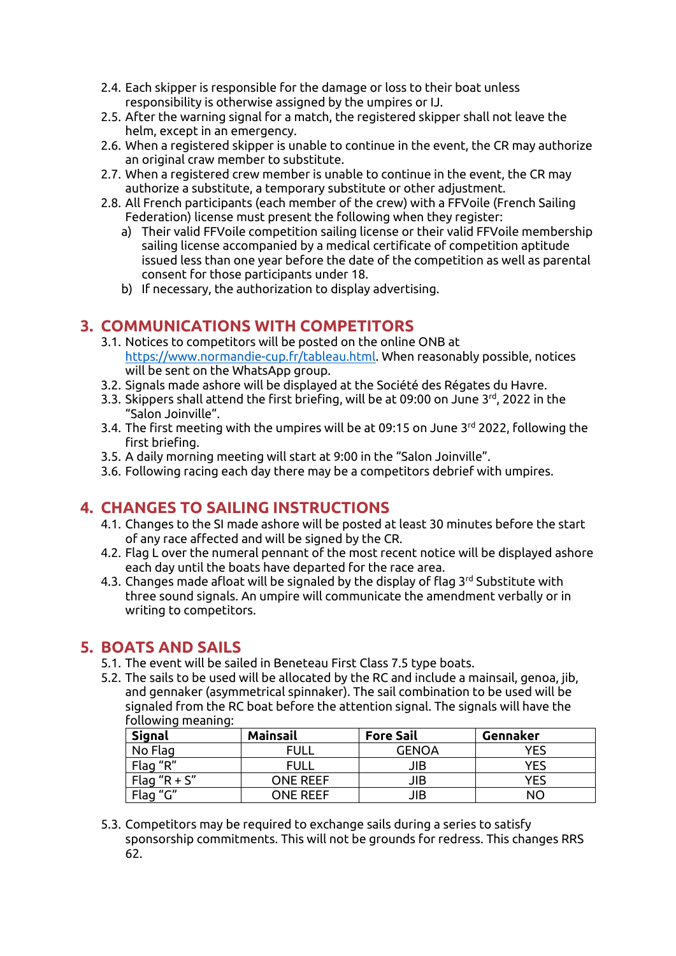- 2.4. Each skipper is responsible for the damage or loss to their boat unless responsibility is otherwise assigned by the umpires or IJ.
- 2.5. After the warning signal for a match, the registered skipper shall not leave the helm, except in an emergency.
- 2.6. When a registered skipper is unable to continue in the event, the CR may authorize an original craw member to substitute.
- 2.7. When a registered crew member is unable to continue in the event, the CR may authorize a substitute, a temporary substitute or other adjustment.
- 2.8. All French participants (each member of the crew) with a FFVoile (French Sailing Federation) license must present the following when they register:
	- a) Their valid FFVoile competition sailing license or their valid FFVoile membership sailing license accompanied by a medical certificate of competition aptitude issued less than one year before the date of the competition as well as parental consent for those participants under 18.
	- b) If necessary, the authorization to display advertising.

### **3. COMMUNICATIONS WITH COMPETITORS**

- 3.1. Notices to competitors will be posted on the online ONB at [https://www.normandie-cup.fr/tableau.html.](https://www.normandie-cup.fr/tableau.html) When reasonably possible, notices will be sent on the WhatsApp group.
- 3.2. Signals made ashore will be displayed at the Société des Régates du Havre.
- 3.3. Skippers shall attend the first briefing, will be at 09:00 on June 3<sup>rd</sup>, 2022 in the "Salon Joinville".
- 3.4. The first meeting with the umpires will be at 09:15 on June 3 rd 2022, following the first briefing.
- 3.5. A daily morning meeting will start at 9:00 in the "Salon Joinville".
- 3.6. Following racing each day there may be a competitors debrief with umpires.

# **4. CHANGES TO SAILING INSTRUCTIONS**

- 4.1. Changes to the SI made ashore will be posted at least 30 minutes before the start of any race affected and will be signed by the CR.
- 4.2. Flag L over the numeral pennant of the most recent notice will be displayed ashore each day until the boats have departed for the race area.
- 4.3. Changes made afloat will be signaled by the display of flag 3<sup>rd</sup> Substitute with three sound signals. An umpire will communicate the amendment verbally or in writing to competitors.

### **5. BOATS AND SAILS**

- 5.1. The event will be sailed in Beneteau First Class 7.5 type boats.
- 5.2. The sails to be used will be allocated by the RC and include a mainsail, genoa, jib, and gennaker (asymmetrical spinnaker). The sail combination to be used will be signaled from the RC boat before the attention signal. The signals will have the following meaning:

| <b>Signal</b>    | <b>Mainsail</b> | <b>Fore Sail</b> | Gennaker |
|------------------|-----------------|------------------|----------|
| No Flag          | FULL            | <b>GENOA</b>     | YES      |
| Flag "R"         | FULL            | JIB              | YFS      |
| Flag " $R + S$ " | ONE REFE        | JIB              | YFS      |
| Flag "G"         | ONE RFFF        | JIB              | NΩ       |

5.3. Competitors may be required to exchange sails during a series to satisfy sponsorship commitments. This will not be grounds for redress. This changes RRS 62.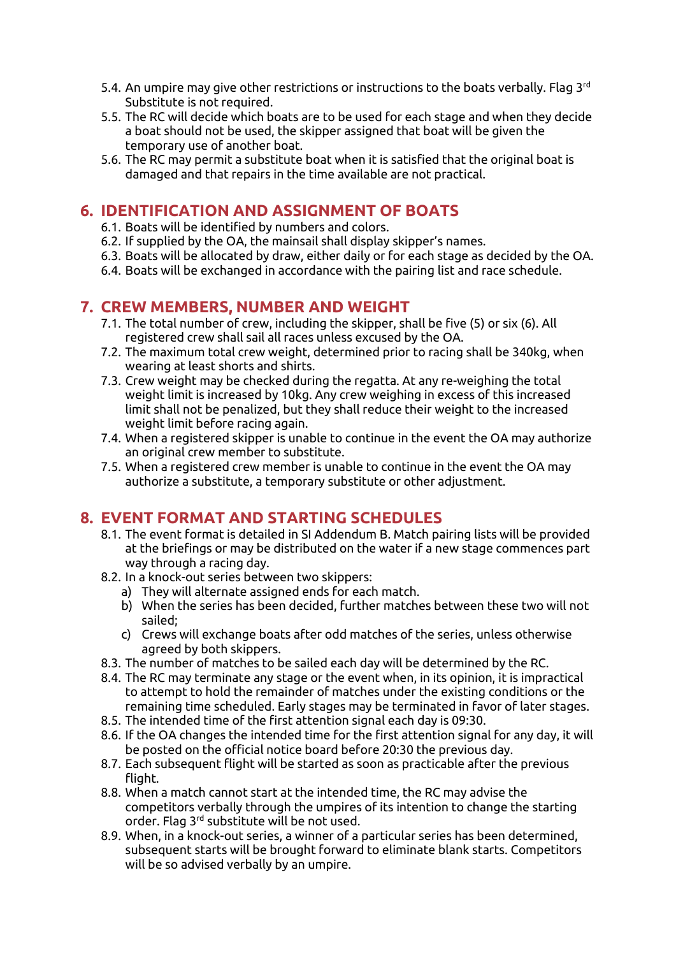- 5.4. An umpire may give other restrictions or instructions to the boats verbally. Flag 3<sup>rd</sup> Substitute is not required.
- 5.5. The RC will decide which boats are to be used for each stage and when they decide a boat should not be used, the skipper assigned that boat will be given the temporary use of another boat.
- 5.6. The RC may permit a substitute boat when it is satisfied that the original boat is damaged and that repairs in the time available are not practical.

# **6. IDENTIFICATION AND ASSIGNMENT OF BOATS**

- 6.1. Boats will be identified by numbers and colors.
- 6.2. If supplied by the OA, the mainsail shall display skipper's names.
- 6.3. Boats will be allocated by draw, either daily or for each stage as decided by the OA.
- 6.4. Boats will be exchanged in accordance with the pairing list and race schedule.

# **7. CREW MEMBERS, NUMBER AND WEIGHT**

- 7.1. The total number of crew, including the skipper, shall be five (5) or six (6). All registered crew shall sail all races unless excused by the OA.
- 7.2. The maximum total crew weight, determined prior to racing shall be 340kg, when wearing at least shorts and shirts.
- 7.3. Crew weight may be checked during the regatta. At any re-weighing the total weight limit is increased by 10kg. Any crew weighing in excess of this increased limit shall not be penalized, but they shall reduce their weight to the increased weight limit before racing again.
- 7.4. When a registered skipper is unable to continue in the event the OA may authorize an original crew member to substitute.
- 7.5. When a registered crew member is unable to continue in the event the OA may authorize a substitute, a temporary substitute or other adjustment.

# **8. EVENT FORMAT AND STARTING SCHEDULES**

- 8.1. The event format is detailed in SI Addendum B. Match pairing lists will be provided at the briefings or may be distributed on the water if a new stage commences part way through a racing day.
- 8.2. In a knock-out series between two skippers:
	- a) They will alternate assigned ends for each match.
	- b) When the series has been decided, further matches between these two will not sailed;
	- c) Crews will exchange boats after odd matches of the series, unless otherwise agreed by both skippers.
- 8.3. The number of matches to be sailed each day will be determined by the RC.
- 8.4. The RC may terminate any stage or the event when, in its opinion, it is impractical to attempt to hold the remainder of matches under the existing conditions or the remaining time scheduled. Early stages may be terminated in favor of later stages.
- 8.5. The intended time of the first attention signal each day is 09:30.
- 8.6. If the OA changes the intended time for the first attention signal for any day, it will be posted on the official notice board before 20:30 the previous day.
- 8.7. Each subsequent flight will be started as soon as practicable after the previous flight.
- 8.8. When a match cannot start at the intended time, the RC may advise the competitors verbally through the umpires of its intention to change the starting order. Flag 3rd substitute will be not used.
- 8.9. When, in a knock-out series, a winner of a particular series has been determined, subsequent starts will be brought forward to eliminate blank starts. Competitors will be so advised verbally by an umpire.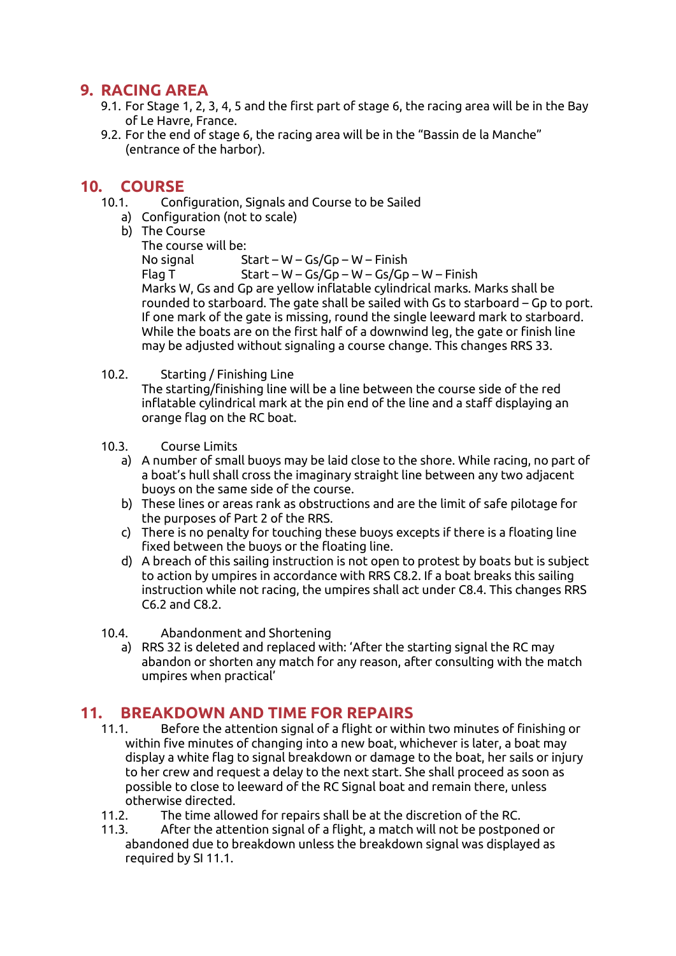# **9. RACING AREA**

- 9.1. For Stage 1, 2, 3, 4, 5 and the first part of stage 6, the racing area will be in the Bay of Le Havre, France.
- 9.2. For the end of stage 6, the racing area will be in the "Bassin de la Manche" (entrance of the harbor).

### **10. COURSE**

- 10.1. Configuration, Signals and Course to be Sailed
	- a) Configuration (not to scale)
	- b) The Course
		- The course will be: No signal Start – W – Gs/Gp – W – Finish Flag T Start – W – Gs/Gp – W – Gs/Gp – W – Finish Marks W, Gs and Gp are yellow inflatable cylindrical marks. Marks shall be rounded to starboard. The gate shall be sailed with Gs to starboard – Gp to port. If one mark of the gate is missing, round the single leeward mark to starboard. While the boats are on the first half of a downwind leg, the gate or finish line may be adjusted without signaling a course change. This changes RRS 33.
- 10.2. Starting / Finishing Line

The starting/finishing line will be a line between the course side of the red inflatable cylindrical mark at the pin end of the line and a staff displaying an orange flag on the RC boat.

- 10.3. Course Limits
	- a) A number of small buoys may be laid close to the shore. While racing, no part of a boat's hull shall cross the imaginary straight line between any two adjacent buoys on the same side of the course.
	- b) These lines or areas rank as obstructions and are the limit of safe pilotage for the purposes of Part 2 of the RRS.
	- c) There is no penalty for touching these buoys excepts if there is a floating line fixed between the buoys or the floating line.
	- d) A breach of this sailing instruction is not open to protest by boats but is subject to action by umpires in accordance with RRS C8.2. If a boat breaks this sailing instruction while not racing, the umpires shall act under C8.4. This changes RRS C6.2 and C8.2.
- 10.4. Abandonment and Shortening
	- a) RRS 32 is deleted and replaced with: 'After the starting signal the RC may abandon or shorten any match for any reason, after consulting with the match umpires when practical'

### **11. BREAKDOWN AND TIME FOR REPAIRS**

- 11.1. Before the attention signal of a flight or within two minutes of finishing or within five minutes of changing into a new boat, whichever is later, a boat may display a white flag to signal breakdown or damage to the boat, her sails or injury to her crew and request a delay to the next start. She shall proceed as soon as possible to close to leeward of the RC Signal boat and remain there, unless otherwise directed.
- 11.2. The time allowed for repairs shall be at the discretion of the RC.
- 11.3. After the attention signal of a flight, a match will not be postponed or abandoned due to breakdown unless the breakdown signal was displayed as required by SI 11.1.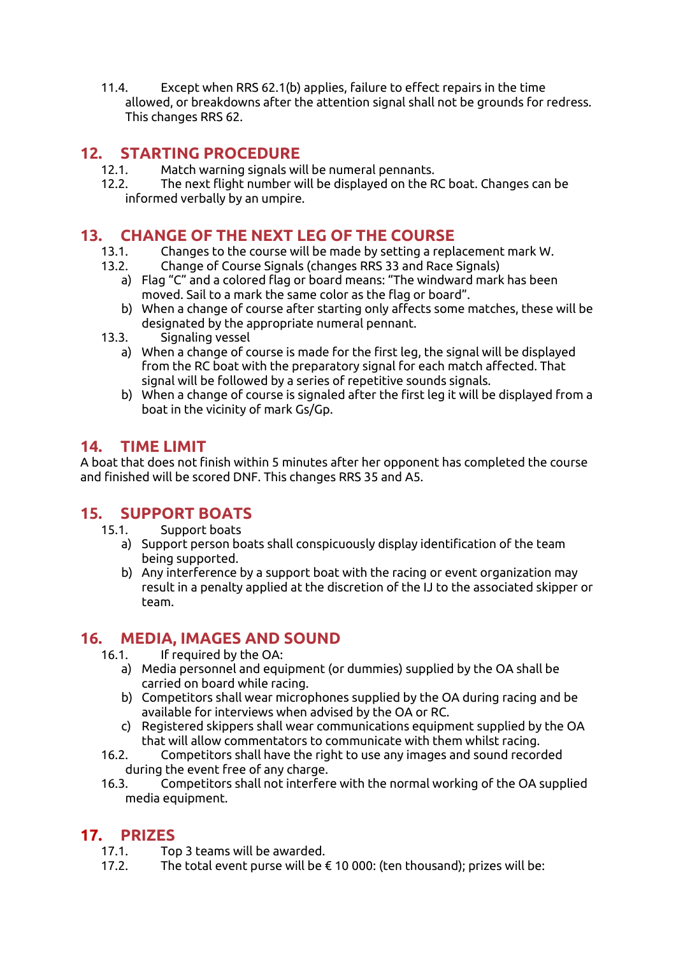11.4. Except when RRS 62.1(b) applies, failure to effect repairs in the time allowed, or breakdowns after the attention signal shall not be grounds for redress. This changes RRS 62.

# **12. STARTING PROCEDURE**

- 12.1. Match warning signals will be numeral pennants.
- 12.2. The next flight number will be displayed on the RC boat. Changes can be informed verbally by an umpire.

### **13. CHANGE OF THE NEXT LEG OF THE COURSE**

- 13.1. Changes to the course will be made by setting a replacement mark W.
- 13.2. Change of Course Signals (changes RRS 33 and Race Signals)
	- a) Flag "C" and a colored flag or board means: "The windward mark has been moved. Sail to a mark the same color as the flag or board".
	- b) When a change of course after starting only affects some matches, these will be designated by the appropriate numeral pennant.
- 13.3. Signaling vessel
	- a) When a change of course is made for the first leg, the signal will be displayed from the RC boat with the preparatory signal for each match affected. That signal will be followed by a series of repetitive sounds signals.
	- b) When a change of course is signaled after the first leg it will be displayed from a boat in the vicinity of mark Gs/Gp.

### **14. TIME LIMIT**

A boat that does not finish within 5 minutes after her opponent has completed the course and finished will be scored DNF. This changes RRS 35 and A5.

# **15. SUPPORT BOATS**

- 15.1. Support boats
	- a) Support person boats shall conspicuously display identification of the team being supported.
	- b) Any interference by a support boat with the racing or event organization may result in a penalty applied at the discretion of the IJ to the associated skipper or team.

# **16. MEDIA, IMAGES AND SOUND**

- 16.1. If required by the OA:
	- a) Media personnel and equipment (or dummies) supplied by the OA shall be carried on board while racing.
	- b) Competitors shall wear microphones supplied by the OA during racing and be available for interviews when advised by the OA or RC.
	- c) Registered skippers shall wear communications equipment supplied by the OA that will allow commentators to communicate with them whilst racing.
- 16.2. Competitors shall have the right to use any images and sound recorded during the event free of any charge.
- 16.3. Competitors shall not interfere with the normal working of the OA supplied media equipment.

# **17. PRIZES**

- 17.1. Top 3 teams will be awarded.
- 17.2. The total event purse will be  $\epsilon$  10 000: (ten thousand); prizes will be: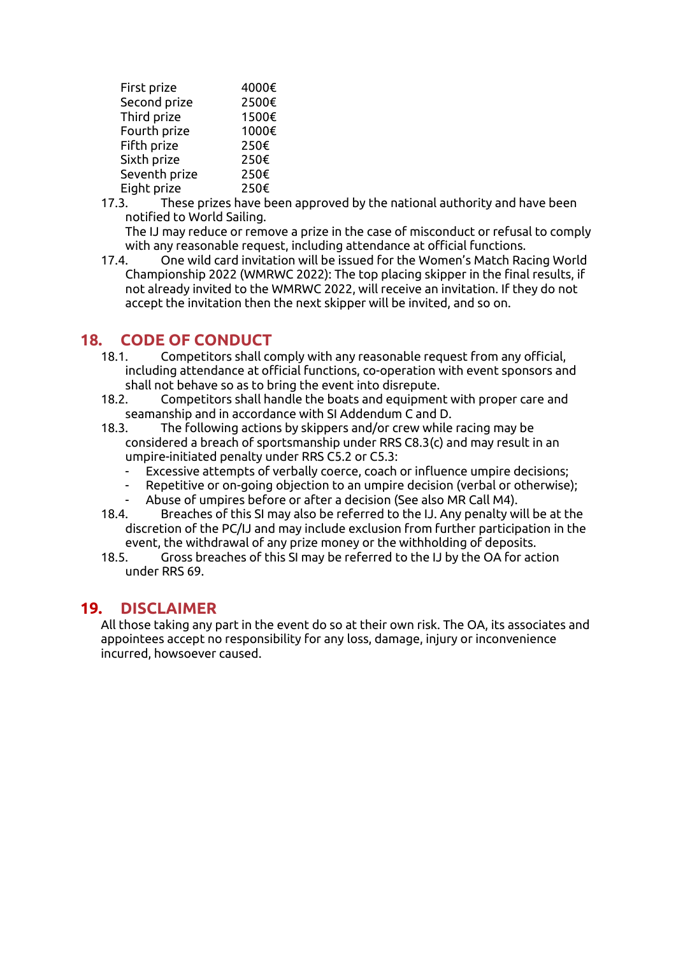| First prize   | 4000€ |
|---------------|-------|
| Second prize  | 2500€ |
| Third prize   | 1500€ |
| Fourth prize  | 1000€ |
| Fifth prize   | 250€  |
| Sixth prize   | 250€  |
| Seventh prize | 250€  |
| Eight prize   | 250€  |

- 17.3. These prizes have been approved by the national authority and have been notified to World Sailing.
	- The IJ may reduce or remove a prize in the case of misconduct or refusal to comply with any reasonable request, including attendance at official functions.
- 17.4. One wild card invitation will be issued for the Women's Match Racing World Championship 2022 (WMRWC 2022): The top placing skipper in the final results, if not already invited to the WMRWC 2022, will receive an invitation. If they do not accept the invitation then the next skipper will be invited, and so on.

# **18. CODE OF CONDUCT**

- 18.1. Competitors shall comply with any reasonable request from any official, including attendance at official functions, co-operation with event sponsors and shall not behave so as to bring the event into disrepute.
- 18.2. Competitors shall handle the boats and equipment with proper care and seamanship and in accordance with SI Addendum C and D.
- 18.3. The following actions by skippers and/or crew while racing may be considered a breach of sportsmanship under RRS C8.3(c) and may result in an umpire-initiated penalty under RRS C5.2 or C5.3:
	- Excessive attempts of verbally coerce, coach or influence umpire decisions;
	- Repetitive or on-going objection to an umpire decision (verbal or otherwise);
	- Abuse of umpires before or after a decision (See also MR Call M4).
- 18.4. Breaches of this SI may also be referred to the IJ. Any penalty will be at the discretion of the PC/IJ and may include exclusion from further participation in the event, the withdrawal of any prize money or the withholding of deposits.
- 18.5. Gross breaches of this SI may be referred to the IJ by the OA for action under RRS 69.

### **19. DISCLAIMER**

All those taking any part in the event do so at their own risk. The OA, its associates and appointees accept no responsibility for any loss, damage, injury or inconvenience incurred, howsoever caused.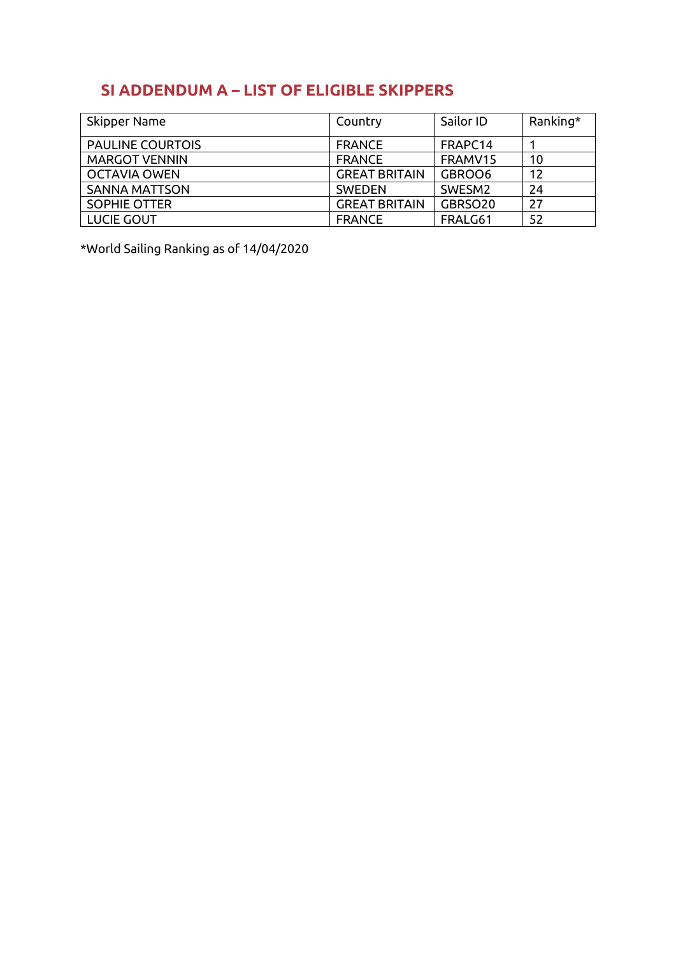# **SI ADDENDUM A – LIST OF ELIGIBLE SKIPPERS**

| Skipper Name            | Country              | Sailor ID           | Ranking* |
|-------------------------|----------------------|---------------------|----------|
| <b>PAULINE COURTOIS</b> | <b>FRANCE</b>        | FRAPC14             |          |
| <b>MARGOT VENNIN</b>    | <b>FRANCE</b>        | FRAMV15             | 10       |
| <b>OCTAVIA OWEN</b>     | <b>GREAT BRITAIN</b> | GBROO6              | 12       |
| <b>SANNA MATTSON</b>    | <b>SWEDEN</b>        | SWESM <sub>2</sub>  | 24       |
| <b>SOPHIE OTTER</b>     | <b>GREAT BRITAIN</b> | GBRSO <sub>20</sub> | 27       |
| LUCIE GOUT              | <b>FRANCE</b>        | FRALG61             | 52       |

\*World Sailing Ranking as of 14/04/2020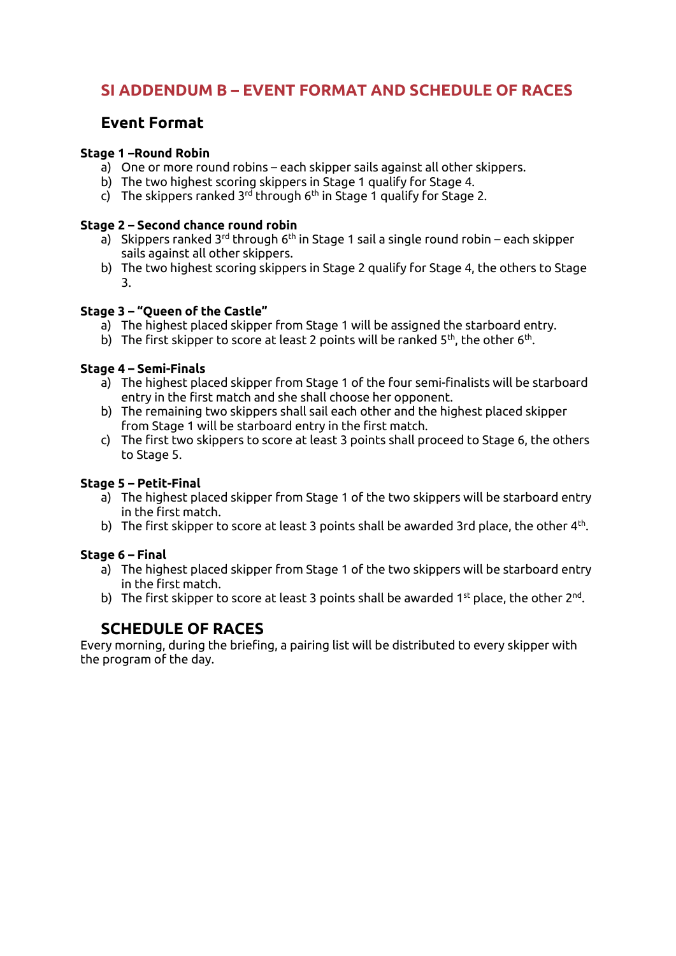# **SI ADDENDUM B – EVENT FORMAT AND SCHEDULE OF RACES**

# **Event Format**

### **Stage 1 –Round Robin**

- a) One or more round robins each skipper sails against all other skippers.
- b) The two highest scoring skippers in Stage 1 qualify for Stage 4.
- c) The skippers ranked 3<sup>rd</sup> through 6<sup>th</sup> in Stage 1 qualify for Stage 2.

#### **Stage 2 – Second chance round robin**

- a) Skippers ranked 3<sup>rd</sup> through 6<sup>th</sup> in Stage 1 sail a single round robin each skipper sails against all other skippers.
- b) The two highest scoring skippers in Stage 2 qualify for Stage 4, the others to Stage 3.

### **Stage 3 – "Queen of the Castle"**

- a) The highest placed skipper from Stage 1 will be assigned the starboard entry.
- b) The first skipper to score at least 2 points will be ranked 5<sup>th</sup>, the other 6<sup>th</sup>.

#### **Stage 4 – Semi-Finals**

- a) The highest placed skipper from Stage 1 of the four semi-finalists will be starboard entry in the first match and she shall choose her opponent.
- b) The remaining two skippers shall sail each other and the highest placed skipper from Stage 1 will be starboard entry in the first match.
- c) The first two skippers to score at least 3 points shall proceed to Stage 6, the others to Stage 5.

### **Stage 5 – Petit-Final**

- a) The highest placed skipper from Stage 1 of the two skippers will be starboard entry in the first match.
- b) The first skipper to score at least 3 points shall be awarded 3rd place, the other  $4^{\text{th}}$ .

#### **Stage 6 – Final**

- a) The highest placed skipper from Stage 1 of the two skippers will be starboard entry in the first match.
- b) The first skipper to score at least 3 points shall be awarded 1st place, the other 2<sup>nd</sup>.

# **SCHEDULE OF RACES**

Every morning, during the briefing, a pairing list will be distributed to every skipper with the program of the day.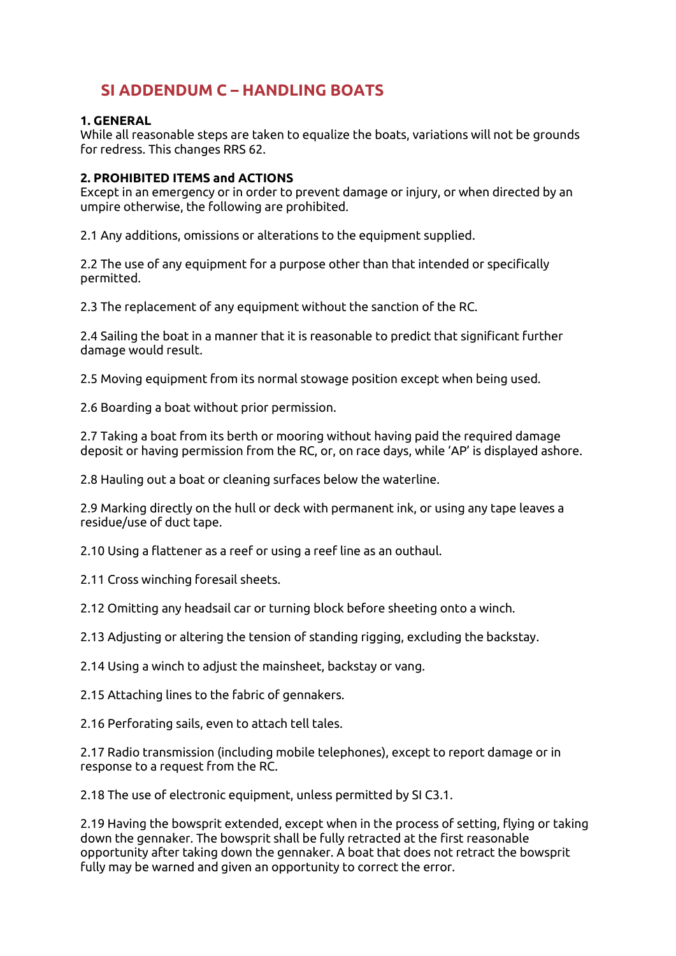# **SI ADDENDUM C – HANDLING BOATS**

#### **1. GENERAL**

While all reasonable steps are taken to equalize the boats, variations will not be grounds for redress. This changes RRS 62.

#### **2. PROHIBITED ITEMS and ACTIONS**

Except in an emergency or in order to prevent damage or injury, or when directed by an umpire otherwise, the following are prohibited.

2.1 Any additions, omissions or alterations to the equipment supplied.

2.2 The use of any equipment for a purpose other than that intended or specifically permitted.

2.3 The replacement of any equipment without the sanction of the RC.

2.4 Sailing the boat in a manner that it is reasonable to predict that significant further damage would result.

2.5 Moving equipment from its normal stowage position except when being used.

2.6 Boarding a boat without prior permission.

2.7 Taking a boat from its berth or mooring without having paid the required damage deposit or having permission from the RC, or, on race days, while 'AP' is displayed ashore.

2.8 Hauling out a boat or cleaning surfaces below the waterline.

2.9 Marking directly on the hull or deck with permanent ink, or using any tape leaves a residue/use of duct tape.

2.10 Using a flattener as a reef or using a reef line as an outhaul.

2.11 Cross winching foresail sheets.

2.12 Omitting any headsail car or turning block before sheeting onto a winch.

2.13 Adjusting or altering the tension of standing rigging, excluding the backstay.

2.14 Using a winch to adjust the mainsheet, backstay or vang.

2.15 Attaching lines to the fabric of gennakers.

2.16 Perforating sails, even to attach tell tales.

2.17 Radio transmission (including mobile telephones), except to report damage or in response to a request from the RC.

2.18 The use of electronic equipment, unless permitted by SI C3.1.

2.19 Having the bowsprit extended, except when in the process of setting, flying or taking down the gennaker. The bowsprit shall be fully retracted at the first reasonable opportunity after taking down the gennaker. A boat that does not retract the bowsprit fully may be warned and given an opportunity to correct the error.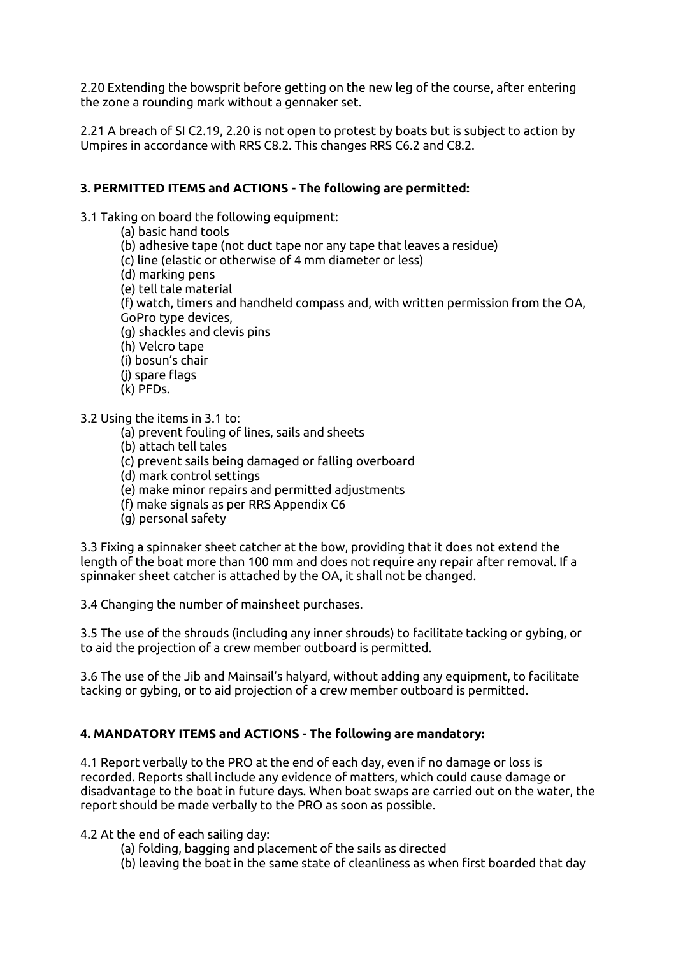2.20 Extending the bowsprit before getting on the new leg of the course, after entering the zone a rounding mark without a gennaker set.

2.21 A breach of SI C2.19, 2.20 is not open to protest by boats but is subject to action by Umpires in accordance with RRS C8.2. This changes RRS C6.2 and C8.2.

#### **3. PERMITTED ITEMS and ACTIONS - The following are permitted:**

3.1 Taking on board the following equipment:

(a) basic hand tools (b) adhesive tape (not duct tape nor any tape that leaves a residue) (c) line (elastic or otherwise of 4 mm diameter or less) (d) marking pens (e) tell tale material (f) watch, timers and handheld compass and, with written permission from the OA, GoPro type devices, (g) shackles and clevis pins (h) Velcro tape (i) bosun's chair (j) spare flags (k) PFDs.

3.2 Using the items in 3.1 to:

(a) prevent fouling of lines, sails and sheets

(b) attach tell tales

(c) prevent sails being damaged or falling overboard

(d) mark control settings

(e) make minor repairs and permitted adjustments

(f) make signals as per RRS Appendix C6

(g) personal safety

3.3 Fixing a spinnaker sheet catcher at the bow, providing that it does not extend the length of the boat more than 100 mm and does not require any repair after removal. If a spinnaker sheet catcher is attached by the OA, it shall not be changed.

3.4 Changing the number of mainsheet purchases.

3.5 The use of the shrouds (including any inner shrouds) to facilitate tacking or gybing, or to aid the projection of a crew member outboard is permitted.

3.6 The use of the Jib and Mainsail's halyard, without adding any equipment, to facilitate tacking or gybing, or to aid projection of a crew member outboard is permitted.

#### **4. MANDATORY ITEMS and ACTIONS - The following are mandatory:**

4.1 Report verbally to the PRO at the end of each day, even if no damage or loss is recorded. Reports shall include any evidence of matters, which could cause damage or disadvantage to the boat in future days. When boat swaps are carried out on the water, the report should be made verbally to the PRO as soon as possible.

4.2 At the end of each sailing day:

- (a) folding, bagging and placement of the sails as directed
- (b) leaving the boat in the same state of cleanliness as when first boarded that day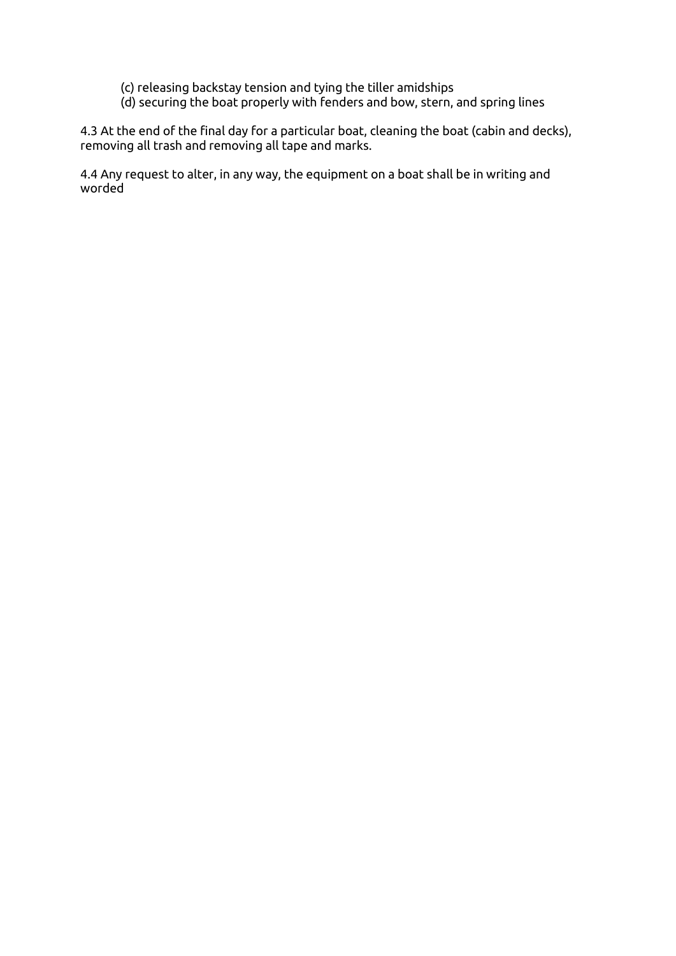- (c) releasing backstay tension and tying the tiller amidships
- (d) securing the boat properly with fenders and bow, stern, and spring lines

4.3 At the end of the final day for a particular boat, cleaning the boat (cabin and decks), removing all trash and removing all tape and marks.

4.4 Any request to alter, in any way, the equipment on a boat shall be in writing and worded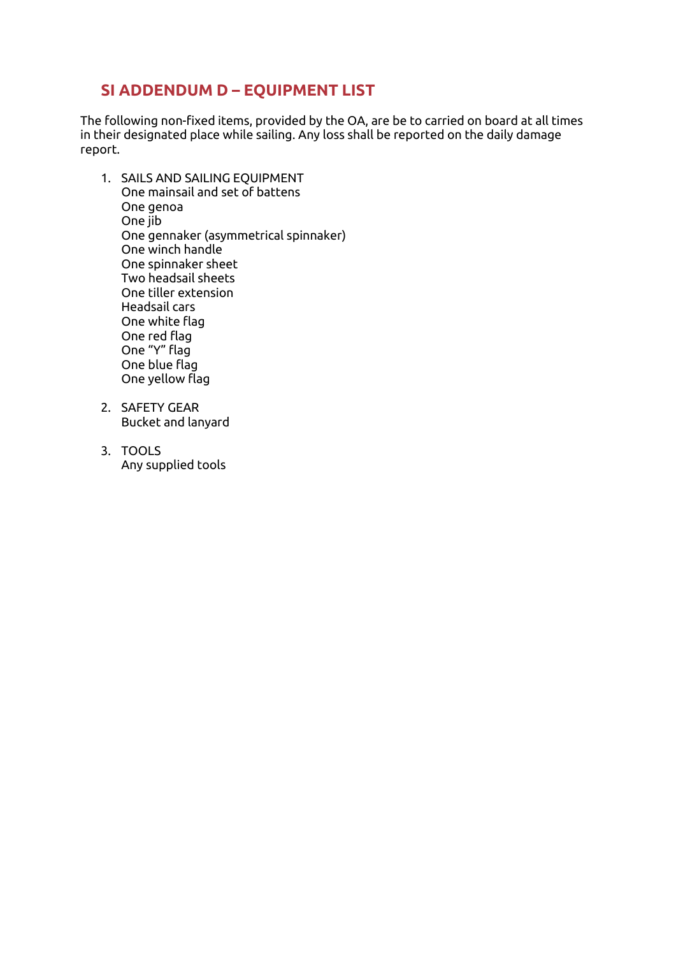# **SI ADDENDUM D – EQUIPMENT LIST**

The following non-fixed items, provided by the OA, are be to carried on board at all times in their designated place while sailing. Any loss shall be reported on the daily damage report.

- 1. SAILS AND SAILING EQUIPMENT One mainsail and set of battens One genoa One jib One gennaker (asymmetrical spinnaker) One winch handle One spinnaker sheet Two headsail sheets One tiller extension Headsail cars One white flag One red flag One "Y" flag One blue flag One yellow flag
- 2. SAFETY GEAR Bucket and lanyard
- 3. TOOLS Any supplied tools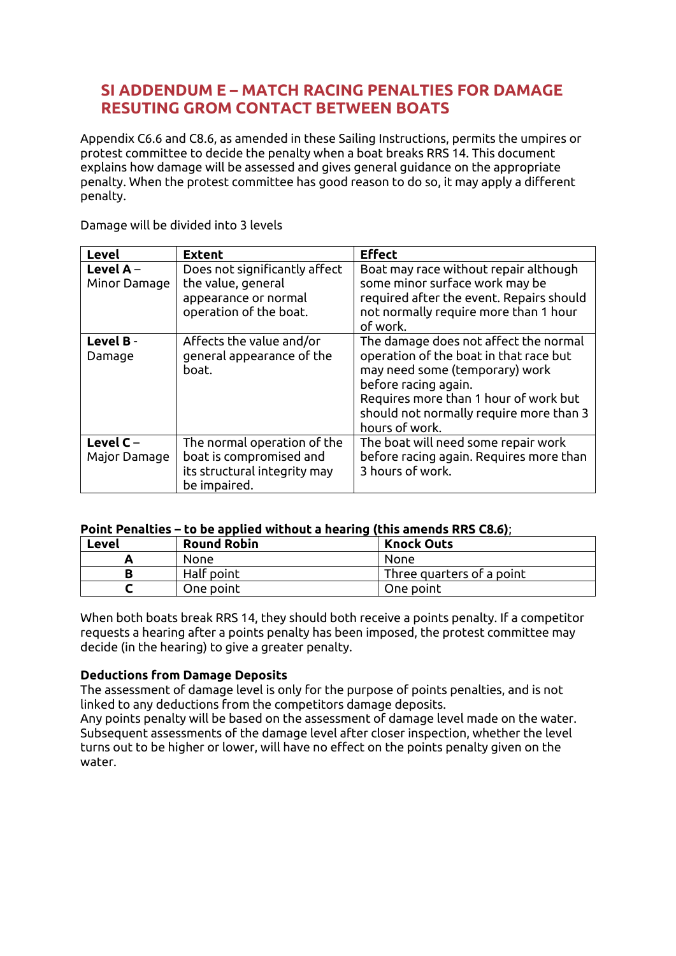# **SI ADDENDUM E – MATCH RACING PENALTIES FOR DAMAGE RESUTING GROM CONTACT BETWEEN BOATS**

Appendix C6.6 and C8.6, as amended in these Sailing Instructions, permits the umpires or protest committee to decide the penalty when a boat breaks RRS 14. This document explains how damage will be assessed and gives general guidance on the appropriate penalty. When the protest committee has good reason to do so, it may apply a different penalty.

| Level                       | <b>Extent</b>                                                                                          | <b>Effect</b>                                                                                                                                                                                                                                   |
|-----------------------------|--------------------------------------------------------------------------------------------------------|-------------------------------------------------------------------------------------------------------------------------------------------------------------------------------------------------------------------------------------------------|
| Level $A -$<br>Minor Damage | Does not significantly affect<br>the value, general<br>appearance or normal<br>operation of the boat.  | Boat may race without repair although<br>some minor surface work may be<br>required after the event. Repairs should<br>not normally require more than 1 hour<br>of work.                                                                        |
| Level B-<br>Damage          | Affects the value and/or<br>general appearance of the<br>boat.                                         | The damage does not affect the normal<br>operation of the boat in that race but<br>may need some (temporary) work<br>before racing again.<br>Requires more than 1 hour of work but<br>should not normally require more than 3<br>hours of work. |
| Level $C -$<br>Major Damage | The normal operation of the<br>boat is compromised and<br>its structural integrity may<br>be impaired. | The boat will need some repair work<br>before racing again. Requires more than<br>3 hours of work.                                                                                                                                              |

Damage will be divided into 3 levels

#### **Point Penalties – to be applied without a hearing (this amends RRS C8.6)**;

| Level | <b>Round Robin</b> | <b>Knock Outs</b>         |
|-------|--------------------|---------------------------|
|       | None               | None                      |
|       | Half point         | Three quarters of a point |
|       | One point          | One point                 |

When both boats break RRS 14, they should both receive a points penalty. If a competitor requests a hearing after a points penalty has been imposed, the protest committee may decide (in the hearing) to give a greater penalty.

#### **Deductions from Damage Deposits**

The assessment of damage level is only for the purpose of points penalties, and is not linked to any deductions from the competitors damage deposits.

Any points penalty will be based on the assessment of damage level made on the water. Subsequent assessments of the damage level after closer inspection, whether the level turns out to be higher or lower, will have no effect on the points penalty given on the water.